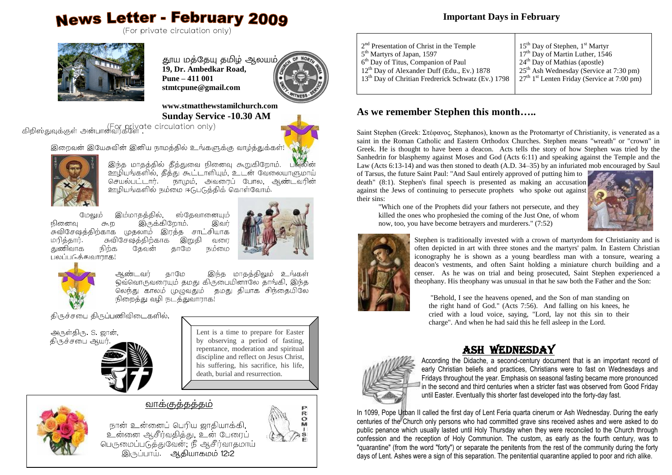# **News Letter - February 2009**



தூய மத்தேயு தமிழ் ஆலயம் b **19, Dr. Ambedkar Road, Pune – 411 001 stmtcpune@gmail.com**



#### **www.stmatthewstamilchurch.com Sunday Service -10.30 AM**

Endows private circulation only) ,



இந்த மாதத்தில் தீத்துவை நினைவு கூறுகிறோம். ஊழியங்களில், கீக்து கூட்டாளியும், உடன் வேலையாளுமாய் செயல்பட்டார். நாமும். அவரைப் போல. ஆண்டவரின் உரியங்களில் நம்மை ஈடுபடுத்திக் கொள்வோம்**.** 

இம்மாதத்தில், ஸ்கேவானையம் மேலும் .<br>நினைவு கூற இருக்கிறோம். இவர்<br>சுவிசேஷத்திற்காக முதலாம் இரத்த சாட்சியாக நினைவ இவர் **JnD** ்இறுதி மரித்தார்.<br>குணிவாக சுவிசேஷத்திறகாக வளை நிற்க கேவன் காமே நம்மை பலப்படுக்கமாராக!





இந்த மாதத்திலும் உங்கள் ஆண்டவர் காமே லெந்து காலம் முழுவதும் தமது தியாக சிந்தையிலே .<br>நிறைத்து வழி நடத்துவாராக!

திருச்சபை திருப்பணிவிடைகளில்,





Lent is a time to prepare for Easter by observing a period of fasting, repentance, moderation and spiritual discipline and reflect on Jesus Christ, his suffering, his sacrifice, his life, death, burial and resurrection.

# வாக்குத்தத்தம்



நான் உன்னைப் பெரிய ஜாதியாக்கி, . பண்டிய பெரிய இந்தியாகம்.<br>உன்னை ஆசீர்வதித்து, உன் பேரைப் பெருமைப்படுத்துவேன், நீ ஆசீர்வாதமாய் இருப்பாய். ஆதியாகமம்  $12:2$ 



 $\overline{\mathbb{R}}$  $\ddot{\mathbf{o}}$ 

#### **Important Days in February**

| 15 <sup>th</sup> Day of Stephen, 1 <sup>st</sup> Martyr |
|---------------------------------------------------------|
| 17 <sup>th</sup> Day of Martin Luther, 1546             |
| $24th$ Day of Mathias (apostle)                         |
| 25 <sup>th</sup> Ash Wednesday (Service at 7:30 pm)     |
| $27th 1st$ Lenten Friday (Service at 7:00 pm)           |
|                                                         |
|                                                         |

## **As we remember Stephen this month…..**

Saint Stephen (Greek: Στέφανος, Stephanos), known as the Protomartyr of Christianity, is venerated as a saint in the Roman Catholic and Eastern Orthodox Churches. Stephen means "wreath" or "crown" in Greek. He is thought to have been a deacon. Acts tells the story of how Stephen was tried by the Sanhedrin for blasphemy against Moses and God (Acts 6:11) and speaking against the Temple and the Law (Acts 6:13-14) and was then stoned to death (A.D. 34–35) by an infuriated mob encouraged by Saul

of Tarsus, the future Saint Paul: "And Saul entirely approved of putting him to death" (8:1). Stephen's final speech is presented as making an accusation against the Jews of continuing to persecute prophets who spoke out against their sins: "Which one of the Prophets did your fathers not persecute, and they

killed the ones who prophesied the coming of the Just One, of whom now, too, you have become betrayers and murderers." (7:52)





Stephen is traditionally invested with a crown of martyrdom for Christianity and is often depicted in art with three stones and the martyrs' palm. In Eastern Christian iconography he is shown as a young beardless man with a tonsure, wearing a deacon's vestments, and often Saint holding a miniature church building and a censer. As he was on trial and being prosecuted, Saint Stephen experienced a theophany. His theophany was unusual in that he saw both the Father and the Son:

"Behold, I see the heavens opened, and the Son of man standing on the right hand of God." (Acts 7:56). And falling on his knees, he cried with a loud voice, saying, "Lord, lay not this sin to their charge". And when he had said this he fell asleep in the Lord.

# Ash Wednesday



According the Didache, a second-century document that is an important record of early Christian beliefs and practices, Christians were to fast on Wednesdays and Fridays throughout the year. Emphasis on seasonal fasting became more pronounced in the second and third centuries when a stricter fast was observed from Good Friday until Easter. Eventually this shorter fast developed into the forty-day fast.

In 1099, Pope Urban II called the first day of Lent Feria quarta cinerum or Ash Wednesday. During the early centuries of the Church only persons who had committed grave sins received ashes and were asked to do public penance which usually lasted until Holy Thursday when they were reconciled to the Church through confession and the reception of Holy Communion. The custom, as early as the fourth century, was to "quarantine" (from the word "forty") or separate the penitents from the rest of the community during the forty days of Lent. Ashes were a sign of this separation. The penitential quarantine applied to poor and rich alike.